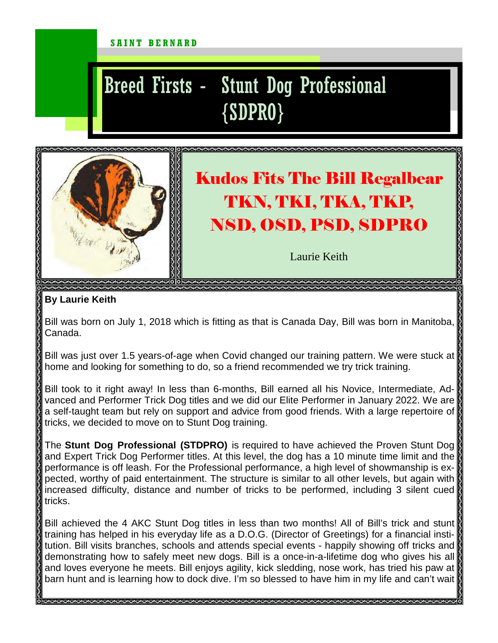## SAINT BERNARD

## Breed Firsts - Stunt Dog Professional {SDPRO}



## Kudos Fits The Bill Regalbear TKN, TKI, TKA, TKP, NSD, OSD, PSD, SDPRO

Laurie Keith

## **By Laurie Keith**

Bill was born on July 1, 2018 which is fitting as that is Canada Day, Bill was born in Manitoba, Canada.

Bill was just over 1.5 years-of-age when Covid changed our training pattern. We were stuck at home and looking for something to do, so a friend recommended we try trick training.

Bill took to it right away! In less than 6-months, Bill earned all his Novice, Intermediate, Advanced and Performer Trick Dog titles and we did our Elite Performer in January 2022. We are a self-taught team but rely on support and advice from good friends. With a large repertoire of tricks, we decided to move on to Stunt Dog training.

The **Stunt Dog Professional (STDPRO)** is required to have achieved the Proven Stunt Dog and Expert Trick Dog Performer titles. At this level, the dog has a 10 minute time limit and the performance is off leash. For the Professional performance, a high level of showmanship is expected, worthy of paid entertainment. The structure is similar to all other levels, but again with increased difficulty, distance and number of tricks to be performed, including 3 silent cued tricks.

Bill achieved the 4 AKC Stunt Dog titles in less than two months! All of Bill's trick and stunt training has helped in his everyday life as a D.O.G. (Director of Greetings) for a financial institution. Bill visits branches, schools and attends special events - happily showing off tricks and demonstrating how to safely meet new dogs. Bill is a once-in-a-lifetime dog who gives his all and loves everyone he meets. Bill enjoys agility, kick sledding, nose work, has tried his paw at barn hunt and is learning how to dock dive. I'm so blessed to have him in my life and can't wait